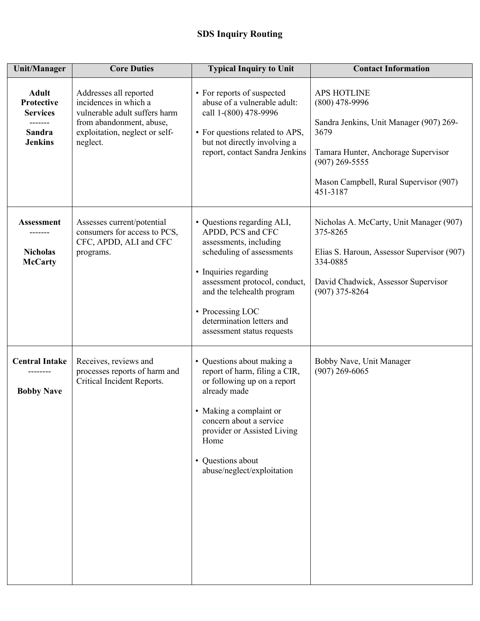| <b>Unit/Manager</b>                                                                     | <b>Core Duties</b>                                                                                                                                         | <b>Typical Inquiry to Unit</b>                                                                                                                                                                                                                                                | <b>Contact Information</b>                                                                                                                                                                                 |
|-----------------------------------------------------------------------------------------|------------------------------------------------------------------------------------------------------------------------------------------------------------|-------------------------------------------------------------------------------------------------------------------------------------------------------------------------------------------------------------------------------------------------------------------------------|------------------------------------------------------------------------------------------------------------------------------------------------------------------------------------------------------------|
| <b>Adult</b><br><b>Protective</b><br><b>Services</b><br><b>Sandra</b><br><b>Jenkins</b> | Addresses all reported<br>incidences in which a<br>vulnerable adult suffers harm<br>from abandonment, abuse,<br>exploitation, neglect or self-<br>neglect. | • For reports of suspected<br>abuse of a vulnerable adult:<br>call 1-(800) 478-9996<br>• For questions related to APS,<br>but not directly involving a<br>report, contact Sandra Jenkins                                                                                      | <b>APS HOTLINE</b><br>$(800)$ 478-9996<br>Sandra Jenkins, Unit Manager (907) 269-<br>3679<br>Tamara Hunter, Anchorage Supervisor<br>$(907)$ 269-5555<br>Mason Campbell, Rural Supervisor (907)<br>451-3187 |
| <b>Assessment</b><br><b>Nicholas</b><br><b>McCarty</b>                                  | Assesses current/potential<br>consumers for access to PCS,<br>CFC, APDD, ALI and CFC<br>programs.                                                          | • Questions regarding ALI,<br>APDD, PCS and CFC<br>assessments, including<br>scheduling of assessments<br>• Inquiries regarding<br>assessment protocol, conduct,<br>and the telehealth program<br>• Processing LOC<br>determination letters and<br>assessment status requests | Nicholas A. McCarty, Unit Manager (907)<br>375-8265<br>Elias S. Haroun, Assessor Supervisor (907)<br>334-0885<br>David Chadwick, Assessor Supervisor<br>$(907)$ 375-8264                                   |
| <b>Central Intake</b><br><b>Bobby Nave</b>                                              | Receives, reviews and<br>processes reports of harm and<br>Critical Incident Reports.                                                                       | • Questions about making a<br>report of harm, filing a CIR,<br>or following up on a report<br>already made<br>• Making a complaint or<br>concern about a service<br>provider or Assisted Living<br>Home<br>• Questions about<br>abuse/neglect/exploitation                    | Bobby Nave, Unit Manager<br>$(907)$ 269-6065                                                                                                                                                               |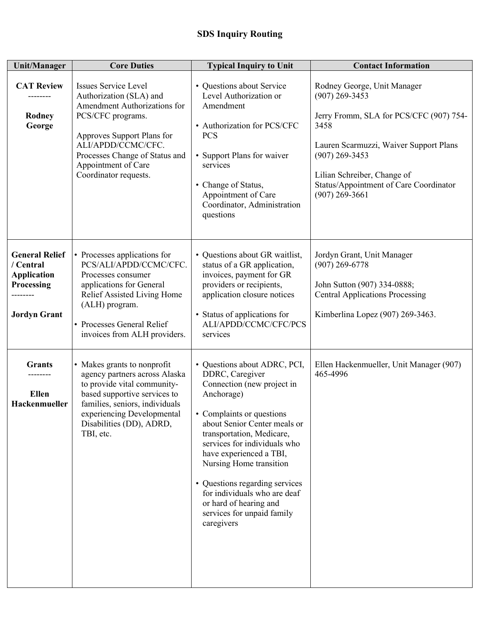| <b>Unit/Manager</b>                                                                           | <b>Core Duties</b>                                                                                                                                                                                                                                | <b>Typical Inquiry to Unit</b>                                                                                                                                                                                                                                                                                                                                                                                      | <b>Contact Information</b>                                                                                                                                                                                                                                    |
|-----------------------------------------------------------------------------------------------|---------------------------------------------------------------------------------------------------------------------------------------------------------------------------------------------------------------------------------------------------|---------------------------------------------------------------------------------------------------------------------------------------------------------------------------------------------------------------------------------------------------------------------------------------------------------------------------------------------------------------------------------------------------------------------|---------------------------------------------------------------------------------------------------------------------------------------------------------------------------------------------------------------------------------------------------------------|
| <b>CAT Review</b><br><b>Rodney</b><br>George                                                  | <b>Issues Service Level</b><br>Authorization (SLA) and<br>Amendment Authorizations for<br>PCS/CFC programs.<br>Approves Support Plans for<br>ALI/APDD/CCMC/CFC.<br>Processes Change of Status and<br>Appointment of Care<br>Coordinator requests. | • Questions about Service<br>Level Authorization or<br>Amendment<br>• Authorization for PCS/CFC<br><b>PCS</b><br>• Support Plans for waiver<br>services<br>• Change of Status,<br>Appointment of Care<br>Coordinator, Administration<br>questions                                                                                                                                                                   | Rodney George, Unit Manager<br>$(907)$ 269-3453<br>Jerry Fromm, SLA for PCS/CFC (907) 754-<br>3458<br>Lauren Scarmuzzi, Waiver Support Plans<br>$(907)$ 269-3453<br>Lilian Schreiber, Change of<br>Status/Appointment of Care Coordinator<br>$(907)$ 269-3661 |
| <b>General Relief</b><br>/ Central<br><b>Application</b><br>Processing<br><b>Jordyn Grant</b> | • Processes applications for<br>PCS/ALI/APDD/CCMC/CFC.<br>Processes consumer<br>applications for General<br>Relief Assisted Living Home<br>(ALH) program.<br>• Processes General Relief<br>invoices from ALH providers.                           | • Questions about GR waitlist,<br>status of a GR application,<br>invoices, payment for GR<br>providers or recipients,<br>application closure notices<br>• Status of applications for<br>ALI/APDD/CCMC/CFC/PCS<br>services                                                                                                                                                                                           | Jordyn Grant, Unit Manager<br>$(907)$ 269-6778<br>John Sutton (907) 334-0888;<br><b>Central Applications Processing</b><br>Kimberlina Lopez (907) 269-3463.                                                                                                   |
| <b>Grants</b><br><b>Ellen</b><br>Hackenmueller                                                | • Makes grants to nonprofit<br>agency partners across Alaska<br>to provide vital community-<br>based supportive services to<br>families, seniors, individuals<br>experiencing Developmental<br>Disabilities (DD), ADRD,<br>TBI, etc.              | • Questions about ADRC, PCI,<br>DDRC, Caregiver<br>Connection (new project in<br>Anchorage)<br>• Complaints or questions<br>about Senior Center meals or<br>transportation, Medicare,<br>services for individuals who<br>have experienced a TBI,<br>Nursing Home transition<br>• Questions regarding services<br>for individuals who are deaf<br>or hard of hearing and<br>services for unpaid family<br>caregivers | Ellen Hackenmueller, Unit Manager (907)<br>465-4996                                                                                                                                                                                                           |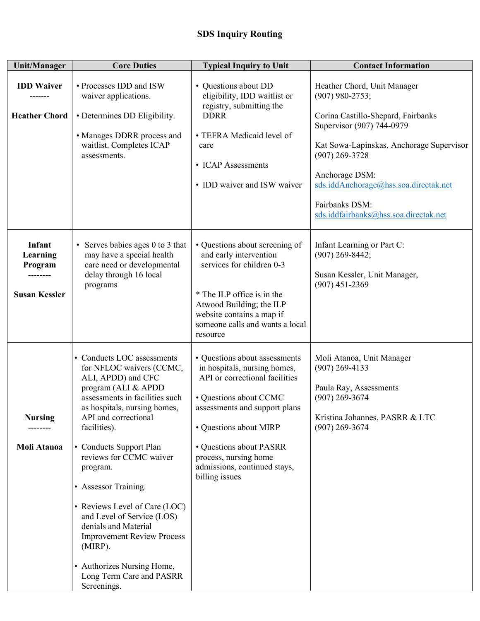| <b>Unit/Manager</b>                                   | <b>Core Duties</b>                                                                                                                                                                                                                                                                                                                                                                                                                                                                                       | <b>Typical Inquiry to Unit</b>                                                                                                                                                                                                                                                             | <b>Contact Information</b>                                                                                                                                      |
|-------------------------------------------------------|----------------------------------------------------------------------------------------------------------------------------------------------------------------------------------------------------------------------------------------------------------------------------------------------------------------------------------------------------------------------------------------------------------------------------------------------------------------------------------------------------------|--------------------------------------------------------------------------------------------------------------------------------------------------------------------------------------------------------------------------------------------------------------------------------------------|-----------------------------------------------------------------------------------------------------------------------------------------------------------------|
| <b>IDD Waiver</b><br><b>Heather Chord</b>             | • Processes IDD and ISW<br>waiver applications.<br>• Determines DD Eligibility.<br>• Manages DDRR process and<br>waitlist. Completes ICAP                                                                                                                                                                                                                                                                                                                                                                | • Questions about DD<br>eligibility, IDD waitlist or<br>registry, submitting the<br><b>DDRR</b><br>• TEFRA Medicaid level of<br>care<br>• ICAP Assessments<br>• IDD waiver and ISW waiver                                                                                                  | Heather Chord, Unit Manager<br>$(907)$ 980-2753;<br>Corina Castillo-Shepard, Fairbanks<br>Supervisor (907) 744-0979<br>Kat Sowa-Lapinskas, Anchorage Supervisor |
|                                                       | assessments.                                                                                                                                                                                                                                                                                                                                                                                                                                                                                             |                                                                                                                                                                                                                                                                                            | $(907)$ 269-3728<br>Anchorage DSM:<br>sds.iddAnchorage@hss.soa.directak.net<br>Fairbanks DSM:<br>sds.iddfairbanks@hss.soa.directak.net                          |
| Infant<br>Learning<br>Program<br><b>Susan Kessler</b> | • Serves babies ages 0 to 3 that<br>may have a special health<br>care need or developmental<br>delay through 16 local<br>programs                                                                                                                                                                                                                                                                                                                                                                        | • Questions about screening of<br>and early intervention<br>services for children 0-3<br>* The ILP office is in the<br>Atwood Building; the ILP<br>website contains a map if<br>someone calls and wants a local<br>resource                                                                | Infant Learning or Part C:<br>$(907)$ 269-8442;<br>Susan Kessler, Unit Manager,<br>$(907)$ 451-2369                                                             |
| <b>Nursing</b><br>Moli Atanoa                         | • Conducts LOC assessments<br>for NFLOC waivers (CCMC,<br>ALI, APDD) and CFC<br>program (ALI & APDD<br>assessments in facilities such<br>as hospitals, nursing homes.<br>API and correctional<br>facilities).<br>• Conducts Support Plan<br>reviews for CCMC waiver<br>program.<br>• Assessor Training.<br>• Reviews Level of Care (LOC)<br>and Level of Service (LOS)<br>denials and Material<br><b>Improvement Review Process</b><br>(MIRP).<br>• Authorizes Nursing Home,<br>Long Term Care and PASRR | • Questions about assessments<br>in hospitals, nursing homes,<br>API or correctional facilities<br>• Questions about CCMC<br>assessments and support plans<br>• Questions about MIRP<br>• Questions about PASRR<br>process, nursing home<br>admissions, continued stays,<br>billing issues | Moli Atanoa, Unit Manager<br>$(907)$ 269-4133<br>Paula Ray, Assessments<br>$(907)$ 269-3674<br>Kristina Johannes, PASRR & LTC<br>$(907)$ 269-3674               |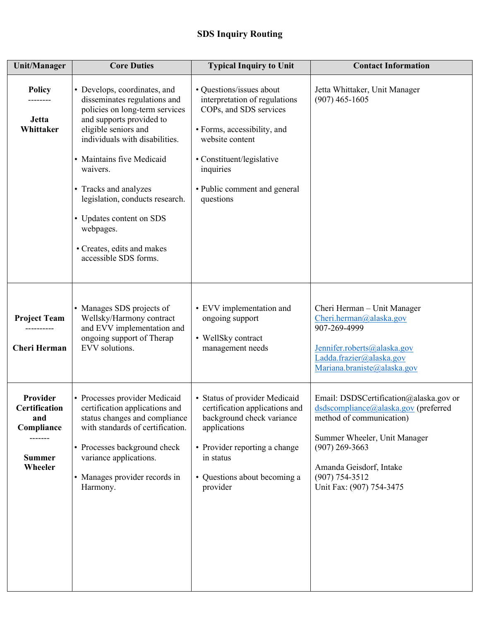| <b>Unit/Manager</b>                                                                          | <b>Core Duties</b>                                                                                                                                                                                                                                                                                                                                                                        | <b>Typical Inquiry to Unit</b>                                                                                                                                                                                               | <b>Contact Information</b>                                                                                                                                                                                                                  |
|----------------------------------------------------------------------------------------------|-------------------------------------------------------------------------------------------------------------------------------------------------------------------------------------------------------------------------------------------------------------------------------------------------------------------------------------------------------------------------------------------|------------------------------------------------------------------------------------------------------------------------------------------------------------------------------------------------------------------------------|---------------------------------------------------------------------------------------------------------------------------------------------------------------------------------------------------------------------------------------------|
| <b>Policy</b><br><b>Jetta</b><br>Whittaker                                                   | • Develops, coordinates, and<br>disseminates regulations and<br>policies on long-term services<br>and supports provided to<br>eligible seniors and<br>individuals with disabilities.<br>• Maintains five Medicaid<br>waivers.<br>• Tracks and analyzes<br>legislation, conducts research.<br>• Updates content on SDS<br>webpages.<br>• Creates, edits and makes<br>accessible SDS forms. | • Questions/issues about<br>interpretation of regulations<br>COPs, and SDS services<br>• Forms, accessibility, and<br>website content<br>• Constituent/legislative<br>inquiries<br>• Public comment and general<br>questions | Jetta Whittaker, Unit Manager<br>$(907)$ 465-1605                                                                                                                                                                                           |
| <b>Project Team</b><br><b>Cheri Herman</b>                                                   | • Manages SDS projects of<br>Wellsky/Harmony contract<br>and EVV implementation and<br>ongoing support of Therap<br>EVV solutions.                                                                                                                                                                                                                                                        | • EVV implementation and<br>ongoing support<br>• WellSky contract<br>management needs                                                                                                                                        | Cheri Herman - Unit Manager<br>Cheri.herman@alaska.gov<br>907-269-4999<br>Jennifer.roberts@alaska.gov<br>Ladda.frazier@alaska.gov<br>Mariana.braniste@alaska.gov                                                                            |
| Provider<br><b>Certification</b><br>and<br>Compliance<br>-------<br><b>Summer</b><br>Wheeler | • Processes provider Medicaid<br>certification applications and<br>status changes and compliance<br>with standards of certification.<br>• Processes background check<br>variance applications.<br>• Manages provider records in<br>Harmony.                                                                                                                                               | · Status of provider Medicaid<br>certification applications and<br>background check variance<br>applications<br>• Provider reporting a change<br>in status<br>• Questions about becoming a<br>provider                       | Email: DSDSCertification@alaska.gov or<br>dsdscompliance@alaska.gov (preferred<br>method of communication)<br>Summer Wheeler, Unit Manager<br>$(907)$ 269-3663<br>Amanda Geisdorf, Intake<br>$(907) 754 - 3512$<br>Unit Fax: (907) 754-3475 |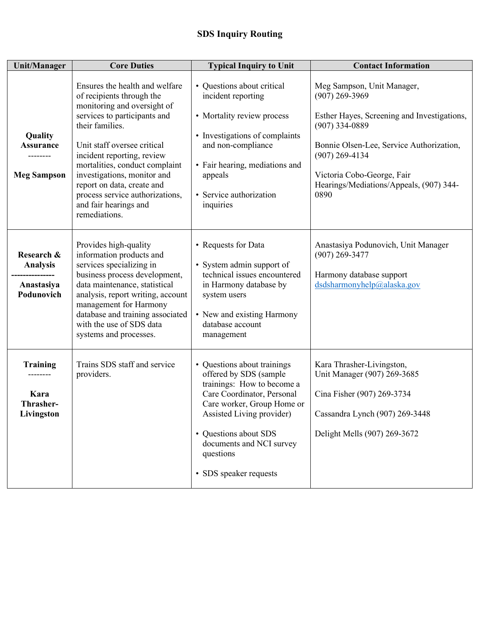| <b>Unit/Manager</b>                                       | <b>Core Duties</b>                                                                                                                                                                                                                                                                                                                                                                     | <b>Typical Inquiry to Unit</b>                                                                                                                                                                                                                                           | <b>Contact Information</b>                                                                                                                                                                                                                                         |
|-----------------------------------------------------------|----------------------------------------------------------------------------------------------------------------------------------------------------------------------------------------------------------------------------------------------------------------------------------------------------------------------------------------------------------------------------------------|--------------------------------------------------------------------------------------------------------------------------------------------------------------------------------------------------------------------------------------------------------------------------|--------------------------------------------------------------------------------------------------------------------------------------------------------------------------------------------------------------------------------------------------------------------|
| Quality<br><b>Assurance</b><br><b>Meg Sampson</b>         | Ensures the health and welfare<br>of recipients through the<br>monitoring and oversight of<br>services to participants and<br>their families.<br>Unit staff oversee critical<br>incident reporting, review<br>mortalities, conduct complaint<br>investigations, monitor and<br>report on data, create and<br>process service authorizations,<br>and fair hearings and<br>remediations. | • Questions about critical<br>incident reporting<br>• Mortality review process<br>• Investigations of complaints<br>and non-compliance<br>• Fair hearing, mediations and<br>appeals<br>• Service authorization<br>inquiries                                              | Meg Sampson, Unit Manager,<br>$(907)$ 269-3969<br>Esther Hayes, Screening and Investigations,<br>$(907)$ 334-0889<br>Bonnie Olsen-Lee, Service Authorization,<br>$(907)$ 269-4134<br>Victoria Cobo-George, Fair<br>Hearings/Mediations/Appeals, (907) 344-<br>0890 |
| Research &<br><b>Analysis</b><br>Anastasiya<br>Podunovich | Provides high-quality<br>information products and<br>services specializing in<br>business process development,<br>data maintenance, statistical<br>analysis, report writing, account<br>management for Harmony<br>database and training associated<br>with the use of SDS data<br>systems and processes.                                                                               | • Requests for Data<br>• System admin support of<br>technical issues encountered<br>in Harmony database by<br>system users<br>• New and existing Harmony<br>database account<br>management                                                                               | Anastasiya Podunovich, Unit Manager<br>$(907)$ 269-3477<br>Harmony database support<br>dsdsharmonyhelp@alaska.gov                                                                                                                                                  |
| <b>Training</b><br>Kara<br>Thrasher-<br>Livingston        | Trains SDS staff and service<br>providers.                                                                                                                                                                                                                                                                                                                                             | • Questions about trainings<br>offered by SDS (sample<br>trainings: How to become a<br>Care Coordinator, Personal<br>Care worker, Group Home or<br>Assisted Living provider)<br>• Questions about SDS<br>documents and NCI survey<br>questions<br>• SDS speaker requests | Kara Thrasher-Livingston,<br>Unit Manager (907) 269-3685<br>Cina Fisher (907) 269-3734<br>Cassandra Lynch (907) 269-3448<br>Delight Mells (907) 269-3672                                                                                                           |